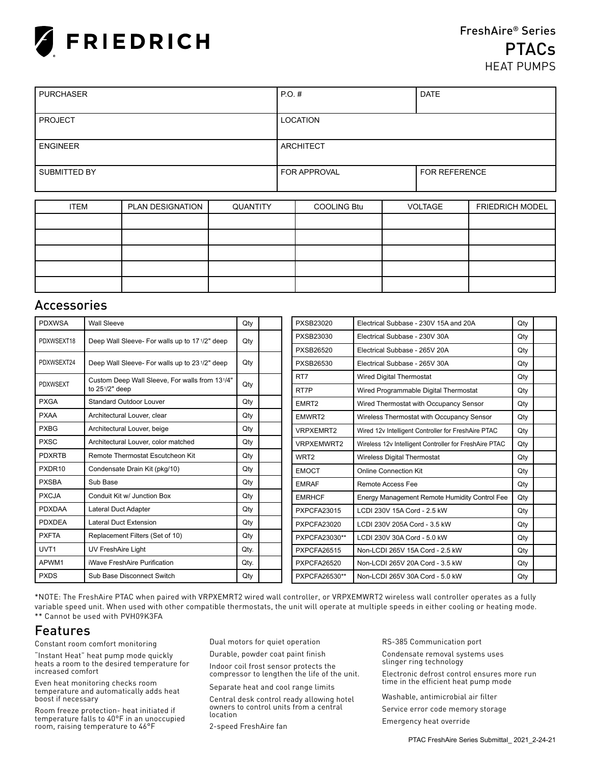

## FreshAire® Series **PTACs** HEAT PUMPS

| <b>PURCHASER</b>    | $PO.$ #             | <b>DATE</b>          |
|---------------------|---------------------|----------------------|
|                     |                     |                      |
| <b>PROJECT</b>      | <b>LOCATION</b>     |                      |
|                     |                     |                      |
| <b>ENGINEER</b>     | ARCHITECT           |                      |
|                     |                     |                      |
| <b>SUBMITTED BY</b> | <b>FOR APPROVAL</b> | <b>FOR REFERENCE</b> |
|                     |                     |                      |

| <b>ITEM</b> | PLAN DESIGNATION | QUANTITY | <b>COOLING Btu</b> | VOLTAGE | <b>FRIEDRICH MODEL</b> |
|-------------|------------------|----------|--------------------|---------|------------------------|
|             |                  |          |                    |         |                        |
|             |                  |          |                    |         |                        |
|             |                  |          |                    |         |                        |
|             |                  |          |                    |         |                        |
|             |                  |          |                    |         |                        |

#### Accessories

| <b>PDXWSA</b>      | <b>Wall Sleeve</b>                             | Qty  |  | PXSB23020          | Electrical Subbase - 230V 15A and 20A                  | Qty |  |
|--------------------|------------------------------------------------|------|--|--------------------|--------------------------------------------------------|-----|--|
| PDXWSEXT18         | Deep Wall Sleeve- For walls up to 17 1/2" deep | Qty  |  | PXSB23030          | Electrical Subbase - 230V 30A                          | Qty |  |
|                    |                                                |      |  | <b>PXSB26520</b>   | Electrical Subbase - 265V 20A                          | Qty |  |
| PDXWSEXT24         | Deep Wall Sleeve- For walls up to 231/2" deep  | Qty  |  | <b>PXSB26530</b>   | Electrical Subbase - 265V 30A                          | Qty |  |
| <b>PDXWSEXT</b>    | Custom Deep Wall Sleeve, For walls from 131/4" |      |  | RT7                | <b>Wired Digital Thermostat</b>                        | Qty |  |
|                    | to $25\frac{1}{2}$ deep                        | Qty  |  | RT7P               | Wired Programmable Digital Thermostat                  |     |  |
| <b>PXGA</b>        | Standard Outdoor Louver                        | Qty  |  | EMRT <sub>2</sub>  | Wired Thermostat with Occupancy Sensor                 | Qty |  |
| <b>PXAA</b>        | Architectural Louver, clear                    | Qty  |  | EMWRT2             | Wireless Thermostat with Occupancy Sensor              | Qty |  |
| <b>PXBG</b>        | Architectural Louver, beige                    | Qty  |  | <b>VRPXEMRT2</b>   | Wired 12v Intelligent Controller for FreshAire PTAC    | Qty |  |
| <b>PXSC</b>        | Architectural Louver, color matched            | Qty  |  | <b>VRPXEMWRT2</b>  | Wireless 12v Intelligent Controller for FreshAire PTAC | Qty |  |
| <b>PDXRTB</b>      | Remote Thermostat Escutcheon Kit               | Qty  |  | WRT <sub>2</sub>   | Wireless Digital Thermostat                            | Qty |  |
| PXDR <sub>10</sub> | Condensate Drain Kit (pkg/10)                  | Qty  |  | <b>EMOCT</b>       | Online Connection Kit                                  | Qty |  |
| <b>PXSBA</b>       | Sub Base                                       | Qty  |  | <b>EMRAF</b>       | <b>Remote Access Fee</b>                               | Qty |  |
| <b>PXCJA</b>       | Conduit Kit w/ Junction Box                    | Qty  |  | <b>EMRHCF</b>      | Energy Management Remote Humidity Control Fee          | Qty |  |
| <b>PDXDAA</b>      | Lateral Duct Adapter                           | Qty  |  | <b>PXPCFA23015</b> | LCDI 230V 15A Cord - 2.5 kW                            | Qty |  |
| <b>PDXDEA</b>      | <b>Lateral Duct Extension</b>                  | Qty  |  | <b>PXPCFA23020</b> | LCDI 230V 205A Cord - 3.5 kW                           | Qty |  |
| <b>PXFTA</b>       | Replacement Filters (Set of 10)                | Qty  |  | PXPCFA23030**      | LCDI 230V 30A Cord - 5.0 kW                            | Qty |  |
| UVT <sub>1</sub>   | UV FreshAire Light                             | Qty. |  | PXPCFA26515        | Non-LCDI 265V 15A Cord - 2.5 kW                        | Qty |  |
| APWM1              | iWave FreshAire Purification                   | Qty. |  | PXPCFA26520        | Non-LCDI 265V 20A Cord - 3.5 kW                        | Qty |  |
| <b>PXDS</b>        | Sub Base Disconnect Switch                     | Qty  |  | PXPCFA26530**      | Non-LCDI 265V 30A Cord - 5.0 kW                        | Qty |  |

\*NOTE: The FreshAire PTAC when paired with VRPXEMRT2 wired wall controller, or VRPXEMWRT2 wireless wall controller operates as a fully variable speed unit. When used with other compatible thermostats, the unit will operate at multiple speeds in either cooling or heating mode. \*\* Cannot be used with PVH09K3FA

### Features

Constant room comfort monitoring

"Instant Heat" heat pump mode quickly heats a room to the desired temperature for increased comfort

Even heat monitoring checks room temperature and automatically adds heat boost if necessary

Room freeze protection- heat initiated if temperature falls to 40°F in an unoccupied room, raising temperature to 46°F

Dual motors for quiet operation

Durable, powder coat paint finish

Indoor coil frost sensor protects the compressor to lengthen the life of the unit.

Separate heat and cool range limits

Central desk control ready allowing hotel owners to control units from a central location

2-speed FreshAire fan

RS-385 Communication port

Condensate removal systems uses slinger ring technology Electronic defrost control ensures more run

time in the efficient heat pump mode

Washable, antimicrobial air filter Service error code memory storage

Emergency heat override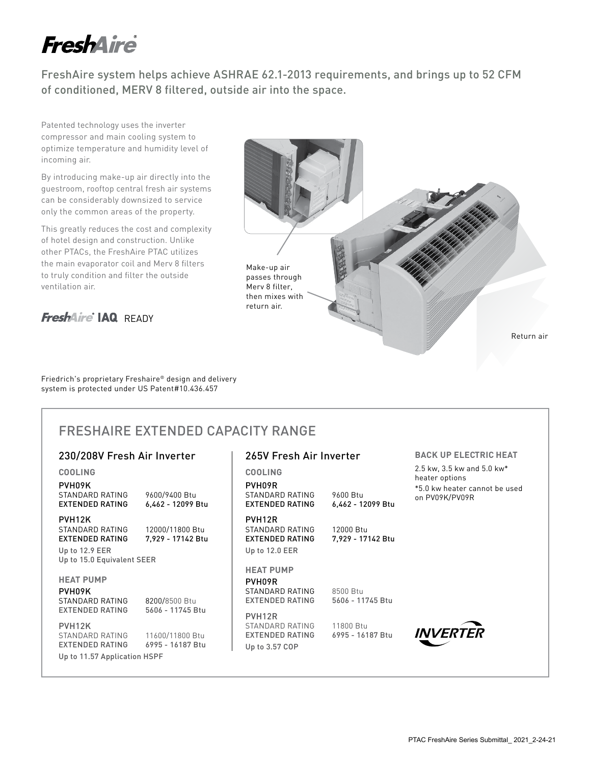# **FreshAire**

FreshAire system helps achieve ASHRAE 62.1-2013 requirements, and brings up to 52 CFM of conditioned, MERV 8 filtered, outside air into the space.

265V Fresh Air Inverter

Patented technology uses the inverter compressor and main cooling system to optimize temperature and humidity level of incoming air.

By introducing make-up air directly into the guestroom, rooftop central fresh air systems can be considerably downsized to service only the common areas of the property.

This greatly reduces the cost and complexity of hotel design and construction. Unlike other PTACs, the FreshAire PTAC utilizes the main evaporator coil and Merv 8 filters to truly condition and filter the outside ventilation air.

**FreshAire IAQ** READY



Friedrich's proprietary Freshaire® design and delivery system is protected under US Patent#10.436.457

## FRESHAIRE EXTENDED CAPACITY RANGE

#### 230/208V Fresh Air Inverter

| <b>COOLING</b><br>PVH09K<br>STANDARD RATING<br>EXTENDED RATING                      | 9600/9400 Btu<br>6,462 - 12099 Btu                      | <b>COOLING</b><br>PVH09R<br>STANDARD RATING<br><b>EXTENDED RATING</b>             | 9600 Btu<br>6,462 - 12099 Btu  |
|-------------------------------------------------------------------------------------|---------------------------------------------------------|-----------------------------------------------------------------------------------|--------------------------------|
| PVH <sub>12</sub> K<br>STANDARD RATING<br>EXTENDED RATING<br>Up to 12.9 EER         | 12000/11800 Btu<br>7.929 - 17142 Btu                    | PVH <sub>12R</sub><br>STANDARD RATING<br><b>EXTENDED RATING</b><br>Up to 12.0 EER | 12000 Btu<br>7,929 - 17142 Btu |
| Up to 15.0 Equivalent SEER                                                          |                                                         |                                                                                   |                                |
| <b>HEAT PUMP</b><br>PVH09K<br>STANDARD RATING                                       | 8200/8500 Btu                                           | <b>HEAT PUMP</b><br>PVH09R<br>STANDARD RATING<br>EXTENDED RATING                  | 8500 Btu<br>5606 - 11745 Btu   |
| <b>EXTENDED RATING</b><br>PVH <sub>12</sub> K<br>STANDARD RATING<br>EXTENDED RATING | 5606 - 11745 Btu<br>11600/11800 Btu<br>6995 - 16187 Btu | PVH12R<br>STANDARD RATING<br>EXTENDED RATING<br>Up to 3.57 COP                    | 11800 Btu<br>6995 - 16187 Btu  |
| Up to 11.57 Application HSPF                                                        |                                                         |                                                                                   |                                |

#### **BACK UP ELECTRIC HEAT**

2.5 kw, 3.5 kw and 5.0 kw\* heater options \*5.0 kw heater cannot be used on PV09K/PV09R